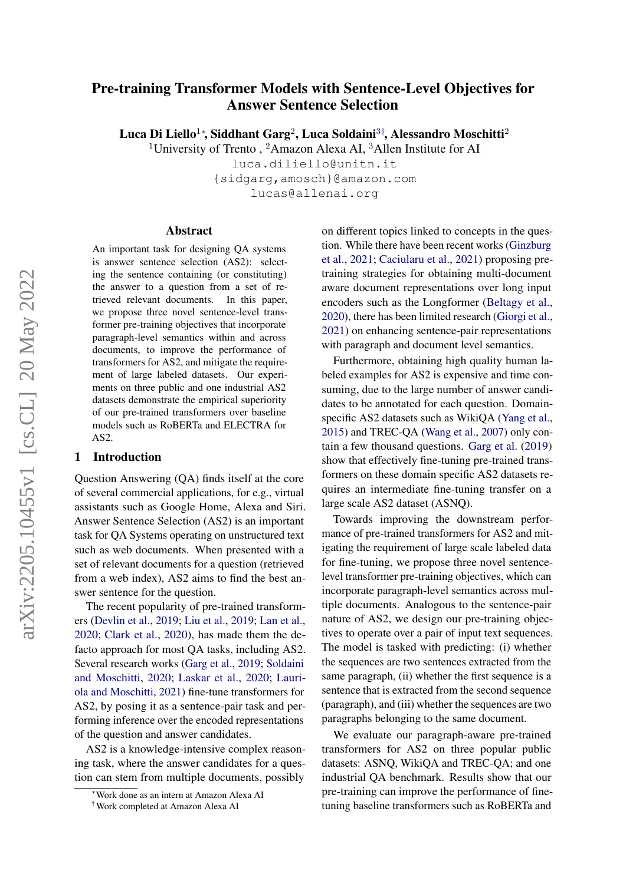# Pre-training Transformer Models with Sentence-Level Objectives for Answer Sentence Selection

Luca Di Liello $^1$ \*, Siddhant Garg $^2$ , Luca Soldaini $^3{}^{\dagger}$ , Alessandro Moschitti $^2$ 

<sup>1</sup>University of Trento, <sup>2</sup>Amazon Alexa AI, <sup>3</sup>Allen Institute for AI

luca.diliello@unitn.it {sidgarg,amosch}@amazon.com lucas@allenai.org

#### Abstract

An important task for designing QA systems is answer sentence selection (AS2): selecting the sentence containing (or constituting) the answer to a question from a set of retrieved relevant documents. In this paper, we propose three novel sentence-level transformer pre-training objectives that incorporate paragraph-level semantics within and across documents, to improve the performance of transformers for AS2, and mitigate the requirement of large labeled datasets. Our experiments on three public and one industrial AS2 datasets demonstrate the empirical superiority of our pre-trained transformers over baseline models such as RoBERTa and ELECTRA for AS2.

#### 1 Introduction

Question Answering (QA) finds itself at the core of several commercial applications, for e.g., virtual assistants such as Google Home, Alexa and Siri. Answer Sentence Selection (AS2) is an important task for QA Systems operating on unstructured text such as web documents. When presented with a set of relevant documents for a question (retrieved from a web index), AS2 aims to find the best answer sentence for the question.

The recent popularity of pre-trained transformers [\(Devlin et al.,](#page-4-0) [2019;](#page-4-0) [Liu et al.,](#page-5-0) [2019;](#page-5-0) [Lan et al.,](#page-5-1) [2020;](#page-5-1) [Clark et al.,](#page-4-1) [2020\)](#page-4-1), has made them the defacto approach for most QA tasks, including AS2. Several research works [\(Garg et al.,](#page-4-2) [2019;](#page-4-2) [Soldaini](#page-5-2) [and Moschitti,](#page-5-2) [2020;](#page-5-2) [Laskar et al.,](#page-5-3) [2020;](#page-5-3) [Lauri](#page-5-4)[ola and Moschitti,](#page-5-4) [2021\)](#page-5-4) fine-tune transformers for AS2, by posing it as a sentence-pair task and performing inference over the encoded representations of the question and answer candidates.

AS2 is a knowledge-intensive complex reasoning task, where the answer candidates for a question can stem from multiple documents, possibly

on different topics linked to concepts in the question. While there have been recent works [\(Ginzburg](#page-4-3) [et al.,](#page-4-3) [2021;](#page-4-3) [Caciularu et al.,](#page-4-4) [2021\)](#page-4-4) proposing pretraining strategies for obtaining multi-document aware document representations over long input encoders such as the Longformer [\(Beltagy et al.,](#page-4-5) [2020\)](#page-4-5), there has been limited research [\(Giorgi et al.,](#page-4-6) [2021\)](#page-4-6) on enhancing sentence-pair representations with paragraph and document level semantics.

Furthermore, obtaining high quality human labeled examples for AS2 is expensive and time consuming, due to the large number of answer candidates to be annotated for each question. Domainspecific AS2 datasets such as WikiQA [\(Yang et al.,](#page-5-5) [2015\)](#page-5-5) and TREC-QA [\(Wang et al.,](#page-5-6) [2007\)](#page-5-6) only contain a few thousand questions. [Garg et al.](#page-4-2) [\(2019\)](#page-4-2) show that effectively fine-tuning pre-trained transformers on these domain specific AS2 datasets requires an intermediate fine-tuning transfer on a large scale AS2 dataset (ASNQ).

Towards improving the downstream performance of pre-trained transformers for AS2 and mitigating the requirement of large scale labeled data for fine-tuning, we propose three novel sentencelevel transformer pre-training objectives, which can incorporate paragraph-level semantics across multiple documents. Analogous to the sentence-pair nature of AS2, we design our pre-training objectives to operate over a pair of input text sequences. The model is tasked with predicting: (i) whether the sequences are two sentences extracted from the same paragraph, (ii) whether the first sequence is a sentence that is extracted from the second sequence (paragraph), and (iii) whether the sequences are two paragraphs belonging to the same document.

We evaluate our paragraph-aware pre-trained transformers for AS2 on three popular public datasets: ASNQ, WikiQA and TREC-QA; and one industrial QA benchmark. Results show that our pre-training can improve the performance of finetuning baseline transformers such as RoBERTa and

<sup>∗</sup>Work done as an intern at Amazon Alexa AI

<sup>†</sup>Work completed at Amazon Alexa AI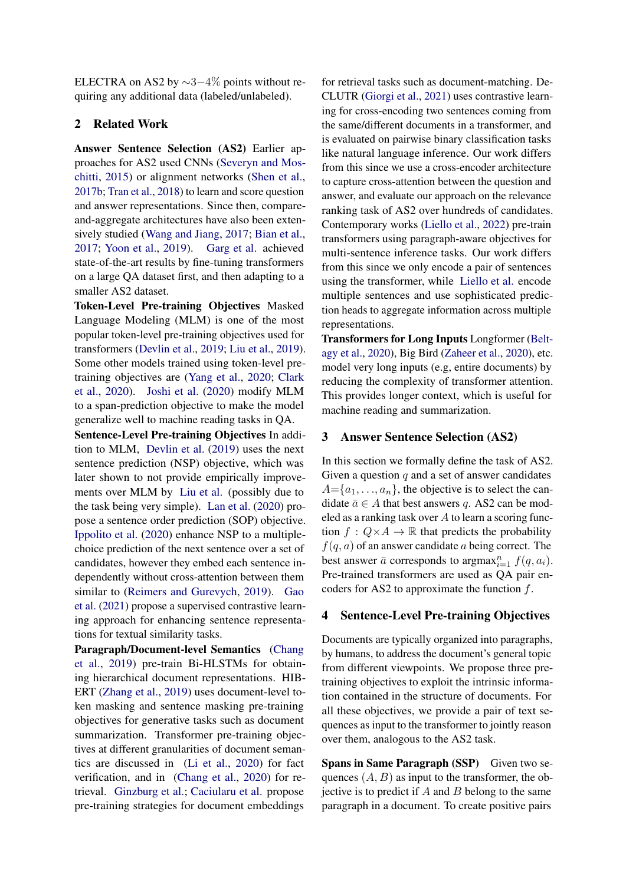ELECTRA on AS2 by  $\sim$ 3−4% points without requiring any additional data (labeled/unlabeled).

## 2 Related Work

Answer Sentence Selection (AS2) Earlier approaches for AS2 used CNNs [\(Severyn and Mos](#page-5-7)[chitti,](#page-5-7) [2015\)](#page-5-7) or alignment networks [\(Shen et al.,](#page-5-8) [2017b;](#page-5-8) [Tran et al.,](#page-5-9) [2018\)](#page-5-9) to learn and score question and answer representations. Since then, compareand-aggregate architectures have also been extensively studied [\(Wang and Jiang,](#page-5-10) [2017;](#page-5-10) [Bian et al.,](#page-4-7) [2017;](#page-4-7) [Yoon et al.,](#page-5-11) [2019\)](#page-5-11). [Garg et al.](#page-4-2) achieved state-of-the-art results by fine-tuning transformers on a large QA dataset first, and then adapting to a smaller AS2 dataset.

Token-Level Pre-training Objectives Masked Language Modeling (MLM) is one of the most popular token-level pre-training objectives used for transformers [\(Devlin et al.,](#page-4-0) [2019;](#page-4-0) [Liu et al.,](#page-5-0) [2019\)](#page-5-0). Some other models trained using token-level pretraining objectives are [\(Yang et al.,](#page-5-12) [2020;](#page-5-12) [Clark](#page-4-1) [et al.,](#page-4-1) [2020\)](#page-4-1). [Joshi et al.](#page-5-13) [\(2020\)](#page-5-13) modify MLM to a span-prediction objective to make the model generalize well to machine reading tasks in QA.

Sentence-Level Pre-training Objectives In addition to MLM, [Devlin et al.](#page-4-0) [\(2019\)](#page-4-0) uses the next sentence prediction (NSP) objective, which was later shown to not provide empirically improvements over MLM by [Liu et al.](#page-5-0) (possibly due to the task being very simple). [Lan et al.](#page-5-1) [\(2020\)](#page-5-1) propose a sentence order prediction (SOP) objective. [Ippolito et al.](#page-5-14) [\(2020\)](#page-5-14) enhance NSP to a multiplechoice prediction of the next sentence over a set of candidates, however they embed each sentence independently without cross-attention between them similar to [\(Reimers and Gurevych,](#page-5-15) [2019\)](#page-5-15). [Gao](#page-4-8) [et al.](#page-4-8) [\(2021\)](#page-4-8) propose a supervised contrastive learning approach for enhancing sentence representations for textual similarity tasks.

Paragraph/Document-level Semantics [\(Chang](#page-4-9) [et al.,](#page-4-9) [2019\)](#page-4-9) pre-train Bi-HLSTMs for obtaining hierarchical document representations. HIB-ERT [\(Zhang et al.,](#page-5-16) [2019\)](#page-5-16) uses document-level token masking and sentence masking pre-training objectives for generative tasks such as document summarization. Transformer pre-training objectives at different granularities of document semantics are discussed in [\(Li et al.,](#page-5-17) [2020\)](#page-5-17) for fact verification, and in [\(Chang et al.,](#page-4-10) [2020\)](#page-4-10) for retrieval. [Ginzburg et al.;](#page-4-3) [Caciularu et al.](#page-4-4) propose pre-training strategies for document embeddings

for retrieval tasks such as document-matching. De-CLUTR [\(Giorgi et al.,](#page-4-6) [2021\)](#page-4-6) uses contrastive learning for cross-encoding two sentences coming from the same/different documents in a transformer, and is evaluated on pairwise binary classification tasks like natural language inference. Our work differs from this since we use a cross-encoder architecture to capture cross-attention between the question and answer, and evaluate our approach on the relevance ranking task of AS2 over hundreds of candidates. Contemporary works [\(Liello et al.,](#page-5-18) [2022\)](#page-5-18) pre-train transformers using paragraph-aware objectives for multi-sentence inference tasks. Our work differs from this since we only encode a pair of sentences using the transformer, while [Liello et al.](#page-5-18) encode multiple sentences and use sophisticated prediction heads to aggregate information across multiple representations.

Transformers for Long Inputs Longformer [\(Belt](#page-4-5)[agy et al.,](#page-4-5) [2020\)](#page-4-5), Big Bird [\(Zaheer et al.,](#page-5-19) [2020\)](#page-5-19), etc. model very long inputs (e.g, entire documents) by reducing the complexity of transformer attention. This provides longer context, which is useful for machine reading and summarization.

#### 3 Answer Sentence Selection (AS2)

In this section we formally define the task of AS2. Given a question  $q$  and a set of answer candidates  $A = \{a_1, \ldots, a_n\}$ , the objective is to select the candidate  $\bar{a} \in A$  that best answers q. AS2 can be modeled as a ranking task over  $A$  to learn a scoring function  $f: Q \times A \rightarrow \mathbb{R}$  that predicts the probability  $f(q, a)$  of an answer candidate a being correct. The best answer  $\bar{a}$  corresponds to argmax $_{i=1}^{n} f(q, a_i)$ . Pre-trained transformers are used as QA pair encoders for AS2 to approximate the function  $f$ .

### <span id="page-1-0"></span>4 Sentence-Level Pre-training Objectives

Documents are typically organized into paragraphs, by humans, to address the document's general topic from different viewpoints. We propose three pretraining objectives to exploit the intrinsic information contained in the structure of documents. For all these objectives, we provide a pair of text sequences as input to the transformer to jointly reason over them, analogous to the AS2 task.

Spans in Same Paragraph (SSP) Given two sequences  $(A, B)$  as input to the transformer, the objective is to predict if  $A$  and  $B$  belong to the same paragraph in a document. To create positive pairs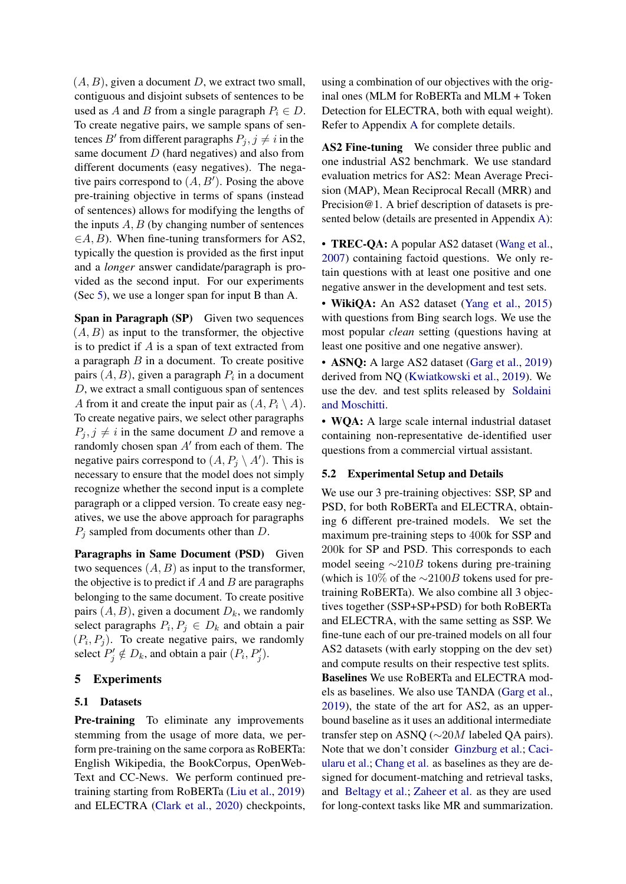$(A, B)$ , given a document D, we extract two small, contiguous and disjoint subsets of sentences to be used as A and B from a single paragraph  $P_i \in D$ . To create negative pairs, we sample spans of sentences  $B'$  from different paragraphs  $P_j, j \neq i$  in the same document  $D$  (hard negatives) and also from different documents (easy negatives). The negative pairs correspond to  $(A, B')$ . Posing the above pre-training objective in terms of spans (instead of sentences) allows for modifying the lengths of the inputs  $A, B$  (by changing number of sentences  $\in A, B$ ). When fine-tuning transformers for AS2, typically the question is provided as the first input and a *longer* answer candidate/paragraph is provided as the second input. For our experiments (Sec [5\)](#page-2-0), we use a longer span for input B than A.

Span in Paragraph (SP) Given two sequences  $(A, B)$  as input to the transformer, the objective is to predict if  $A$  is a span of text extracted from a paragraph  $B$  in a document. To create positive pairs  $(A, B)$ , given a paragraph  $P_i$  in a document D, we extract a small contiguous span of sentences A from it and create the input pair as  $(A, P_i \setminus A)$ . To create negative pairs, we select other paragraphs  $P_i, j \neq i$  in the same document D and remove a randomly chosen span  $A'$  from each of them. The negative pairs correspond to  $(A, P_j \setminus A')$ . This is necessary to ensure that the model does not simply recognize whether the second input is a complete paragraph or a clipped version. To create easy negatives, we use the above approach for paragraphs  $P_i$  sampled from documents other than D.

Paragraphs in Same Document (PSD) Given two sequences  $(A, B)$  as input to the transformer, the objective is to predict if  $A$  and  $B$  are paragraphs belonging to the same document. To create positive pairs  $(A, B)$ , given a document  $D_k$ , we randomly select paragraphs  $P_i, P_j \in D_k$  and obtain a pair  $(P_i, P_j)$ . To create negative pairs, we randomly select  $P'_j \notin D_k$ , and obtain a pair  $(P_i, P'_j)$ .

## <span id="page-2-0"></span>5 Experiments

### 5.1 Datasets

Pre-training To eliminate any improvements stemming from the usage of more data, we perform pre-training on the same corpora as RoBERTa: English Wikipedia, the BookCorpus, OpenWeb-Text and CC-News. We perform continued pretraining starting from RoBERTa [\(Liu et al.,](#page-5-0) [2019\)](#page-5-0) and ELECTRA [\(Clark et al.,](#page-4-1) [2020\)](#page-4-1) checkpoints, using a combination of our objectives with the original ones (MLM for RoBERTa and MLM + Token Detection for ELECTRA, both with equal weight). Refer to Appendix [A](#page-7-0) for complete details.

AS2 Fine-tuning We consider three public and one industrial AS2 benchmark. We use standard evaluation metrics for AS2: Mean Average Precision (MAP), Mean Reciprocal Recall (MRR) and Precision@1. A brief description of datasets is presented below (details are presented in Appendix [A\)](#page-7-0):

• **TREC-QA:** A popular AS2 dataset [\(Wang et al.,](#page-5-6) [2007\)](#page-5-6) containing factoid questions. We only retain questions with at least one positive and one negative answer in the development and test sets.

• WikiQA: An AS2 dataset [\(Yang et al.,](#page-5-5) [2015\)](#page-5-5) with questions from Bing search logs. We use the most popular *clean* setting (questions having at least one positive and one negative answer).

• **ASNO:** A large AS2 dataset [\(Garg et al.,](#page-4-2) [2019\)](#page-4-2) derived from NQ [\(Kwiatkowski et al.,](#page-5-20) [2019\)](#page-5-20). We use the dev. and test splits released by [Soldaini](#page-5-2) [and Moschitti.](#page-5-2)

• WQA: A large scale internal industrial dataset containing non-representative de-identified user questions from a commercial virtual assistant.

#### 5.2 Experimental Setup and Details

We use our 3 pre-training objectives: SSP, SP and PSD, for both RoBERTa and ELECTRA, obtaining 6 different pre-trained models. We set the maximum pre-training steps to 400k for SSP and 200k for SP and PSD. This corresponds to each model seeing  $\sim$ 210B tokens during pre-training (which is 10% of the  $\sim$ 2100B tokens used for pretraining RoBERTa). We also combine all 3 objectives together (SSP+SP+PSD) for both RoBERTa and ELECTRA, with the same setting as SSP. We fine-tune each of our pre-trained models on all four AS2 datasets (with early stopping on the dev set) and compute results on their respective test splits. Baselines We use RoBERTa and ELECTRA models as baselines. We also use TANDA [\(Garg et al.,](#page-4-2) [2019\)](#page-4-2), the state of the art for AS2, as an upperbound baseline as it uses an additional intermediate transfer step on ASNQ (∼20M labeled QA pairs). Note that we don't consider [Ginzburg et al.;](#page-4-3) [Caci](#page-4-4)[ularu et al.;](#page-4-4) [Chang et al.](#page-4-10) as baselines as they are designed for document-matching and retrieval tasks, and [Beltagy et al.;](#page-4-5) [Zaheer et al.](#page-5-19) as they are used for long-context tasks like MR and summarization.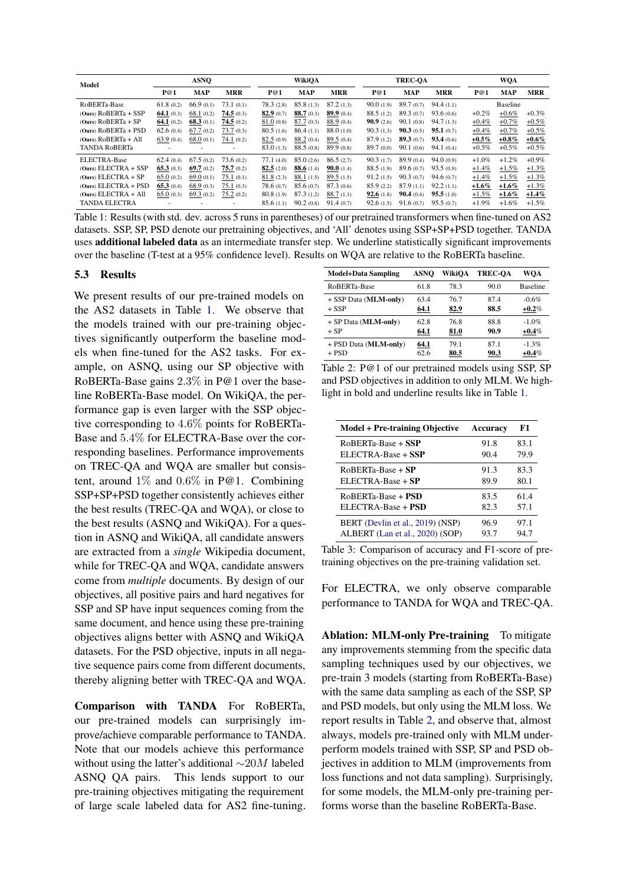<span id="page-3-0"></span>

| Model                  |           | <b>ASNO</b>  |            |            | WikiOA       |                     |           | <b>TREC-OA</b> |            |          | <b>WQA</b> |            |  |
|------------------------|-----------|--------------|------------|------------|--------------|---------------------|-----------|----------------|------------|----------|------------|------------|--|
|                        | P@1       | <b>MAP</b>   | <b>MRR</b> | P@1        | <b>MAP</b>   | <b>MRR</b>          | P@1       | <b>MAP</b>     | <b>MRR</b> | P@1      | <b>MAP</b> | <b>MRR</b> |  |
| RoBERTa-Base           | 61.8(0.2) | 66.9(0.1)    | 73.1(0.1)  | 78.3(2.8)  | 85.8(1.3)    | 87.2(1.3)           | 90.0(1.9) | 89.7(0.7)      | 94.4(1.1)  |          | Baseline   |            |  |
| $(Ours) ROBERTa + SSP$ | 64.1(0.3) | 68.1(0.2)    | 74.5(0.3)  | 82.9(0.7)  | 88.7(0.3)    | 89.9(0.4)           | 88.5(1.2) | 89.3(0.7)      | 93.6(0.6)  | $+0.2\%$ | $+0.6\%$   | $+0.3\%$   |  |
| $(Ours) ROBERTa + SP$  | 64.1(0.2) | 68.3(0.1)    | 74.5(0.2)  | 81.0(0.8)  | 87.7(0.3)    | 88.9 (0.4)          | 90.9(2.6) | 90.1(0.8)      | 94.7(1.3)  | $+0.4%$  | $+0.7\%$   | $+0.5\%$   |  |
| $(Ours) ROBERTa + PSD$ | 62.6(0.4) | 67.7(0.2)    | 73.7(0.3)  | 80.5(1.6)  | 86.4(1.1)    | 88.0 (1.0)          | 90.3(1.3) | 90.3(0.5)      | 95.1(0.7)  | $+0.4%$  | $+0.7%$    | $+0.5\%$   |  |
| $(Ours) ROBERTa + All$ | 63.9(0.4) | 68.0(0.1)    | 74.1(0.2)  | 82.5(0.9)  | 88.2(0.4)    | 89.5(0.4)           | 87.9(1.2) | 89.3(0.7)      | 93.4(0.6)  | $+0.5\%$ | $+0.8\%$   | $+0.6\%$   |  |
| <b>TANDA RoBERTa</b>   | ٠         | ۰            | $\sim$     | 83.0(1.3)  | 88.5(0.8)    | 89.9(0.8)           | 89.7(0.0) | 90.1(0.6)      | 94.1(0.4)  | $+0.5\%$ | $+0.5\%$   | $+0.5\%$   |  |
| ELECTRA-Base           | 62.4(0.4) | 67.5(0.2)    | 73.6(0.2)  | 77.1(4.0)  | 85.0(2.6)    | 86.5(2.7)           | 90.3(1.7) | 89.9(0.4)      | 94.0(0.9)  | $+1.0\%$ | $+1.2%$    | $+0.9\%$   |  |
| $(Ours) EXECTRA + SSP$ | 65.3(0.3) | 69.7 $(0.2)$ | 75.7(0.2)  | 82.5(2.0)  | 88.6 $(1.4)$ | <b>90.0</b> $(1.4)$ | 88.5(1.9) | 89.6(0.7)      | 93.5(0.9)  | $+1.4%$  | $+1.5\%$   | $+1.3\%$   |  |
| $(Ours) EXECTRA + SP$  | 65.0(0.2) | 69.0(0.1)    | 75.1(0.1)  | 81.8(2.3)  | 88.1 (1.5)   | 89.5(1.5)           | 91.2(1.5) | 90.3(0.7)      | 94.6(0.7)  | $+1.4%$  | $+1.5\%$   | $+1.3%$    |  |
| $(Ours) EXECTRA + PSD$ | 65.3(0.4) | 68.9(0.3)    | 75.1(0.3)  | 78.6 (0.7) | 85.6(0.7)    | 87.3(0.6)           | 85.9(2.2) | 87.9(1.1)      | 92.2(1.1)  | $+1.6\%$ | $+1.6\%$   | $+1.3\%$   |  |
| $(Ours) ELECTRA + All$ | 65.0(0.3) | 69.3(0.2)    | 75.2(0.2)  | 80.8(1.9)  | 87.3(1.2)    | 88.7(1.1)           | 92.6(1.8) | 90.4(0.4)      | 95.5(1.0)  | $+1.5%$  | $+1.6\%$   | $+1.4\%$   |  |
| <b>TANDA ELECTRA</b>   |           | ۰            |            | 85.6(1.1)  | 90.2(0.8)    | 91.4(0.7)           | 92.6(1.5) | 91.6(0.7)      | 95.5(0.7)  | $+1.9%$  | $+1.6%$    | $+1.5\%$   |  |

Table 1: Results (with std. dev. across 5 runs in parentheses) of our pretrained transformers when fine-tuned on AS2 datasets. SSP, SP, PSD denote our pretraining objectives, and 'All' denotes using SSP+SP+PSD together. TANDA uses additional labeled data as an intermediate transfer step. We underline statistically significant improvements over the baseline (T-test at a 95% confidence level). Results on WQA are relative to the RoBERTa baseline.

#### 5.3 Results

We present results of our pre-trained models on the AS2 datasets in Table [1.](#page-3-0) We observe that the models trained with our pre-training objectives significantly outperform the baseline models when fine-tuned for the AS2 tasks. For example, on ASNQ, using our SP objective with RoBERTa-Base gains 2.3% in P@1 over the baseline RoBERTa-Base model. On WikiQA, the performance gap is even larger with the SSP objective corresponding to 4.6% points for RoBERTa-Base and 5.4% for ELECTRA-Base over the corresponding baselines. Performance improvements on TREC-QA and WQA are smaller but consistent, around 1% and 0.6% in P@1. Combining SSP+SP+PSD together consistently achieves either the best results (TREC-QA and WQA), or close to the best results (ASNQ and WikiQA). For a question in ASNQ and WikiQA, all candidate answers are extracted from a *single* Wikipedia document, while for TREC-QA and WQA, candidate answers come from *multiple* documents. By design of our objectives, all positive pairs and hard negatives for SSP and SP have input sequences coming from the same document, and hence using these pre-training objectives aligns better with ASNQ and WikiQA datasets. For the PSD objective, inputs in all negative sequence pairs come from different documents, thereby aligning better with TREC-QA and WQA.

Comparison with TANDA For RoBERTa, our pre-trained models can surprisingly improve/achieve comparable performance to TANDA. Note that our models achieve this performance without using the latter's additional ∼20M labeled ASNQ QA pairs. This lends support to our pre-training objectives mitigating the requirement of large scale labeled data for AS2 fine-tuning.

<span id="page-3-1"></span>

| <b>Model+Data Sampling</b> | ASNO | WikiOA | <b>TREC-OA</b> | WOA             |
|----------------------------|------|--------|----------------|-----------------|
| RoBERTa-Base               | 61.8 | 78.3   | 90.0           | <b>Baseline</b> |
| + SSP Data (MLM-only)      | 63.4 | 76.7   | 874            | $-0.6%$         |
| $+$ SSP                    | 64.1 | 82.9   | 88.5           | $+0.2\%$        |
| + SP Data (MLM-only)       | 62.8 | 76.8   | 88.8           | $-1.0%$         |
| $+ SP$                     | 64.1 | 81.0   | 90.9           | $+0.4\%$        |
| + PSD Data (MLM-only)      | 64.1 | 79.1   | 87.1           | $-1.3%$         |
| $+$ PSD                    | 62.6 | 80.5   | 90.3           | $+0.4\%$        |

Table 2: P@1 of our pretrained models using SSP, SP and PSD objectives in addition to only MLM. We highlight in bold and underline results like in Table [1.](#page-3-0)

<span id="page-3-2"></span>

| <b>Model + Pre-training Objective</b> | Accuracy | F1   |
|---------------------------------------|----------|------|
| RoBERTa-Base + SSP                    | 91.8     | 83.1 |
| ELECTRA-Base + SSP                    | 90.4     | 79.9 |
| $ROBERTa-Base + SP$                   | 91.3     | 83.3 |
| $ELECTRA-Base + SP$                   | 89.9     | 80.1 |
| RoBERTa-Base + PSD                    | 83.5     | 61.4 |
| ELECTRA-Base + <b>PSD</b>             | 82.3     | 57.1 |
| BERT (Devlin et al., 2019) (NSP)      | 96.9     | 97.1 |
| ALBERT (Lan et al., 2020) (SOP)       | 93.7     | 94.7 |

Table 3: Comparison of accuracy and F1-score of pretraining objectives on the pre-training validation set.

For ELECTRA, we only observe comparable performance to TANDA for WQA and TREC-QA.

Ablation: MLM-only Pre-training To mitigate any improvements stemming from the specific data sampling techniques used by our objectives, we pre-train 3 models (starting from RoBERTa-Base) with the same data sampling as each of the SSP, SP and PSD models, but only using the MLM loss. We report results in Table [2,](#page-3-1) and observe that, almost always, models pre-trained only with MLM underperform models trained with SSP, SP and PSD objectives in addition to MLM (improvements from loss functions and not data sampling). Surprisingly, for some models, the MLM-only pre-training performs worse than the baseline RoBERTa-Base.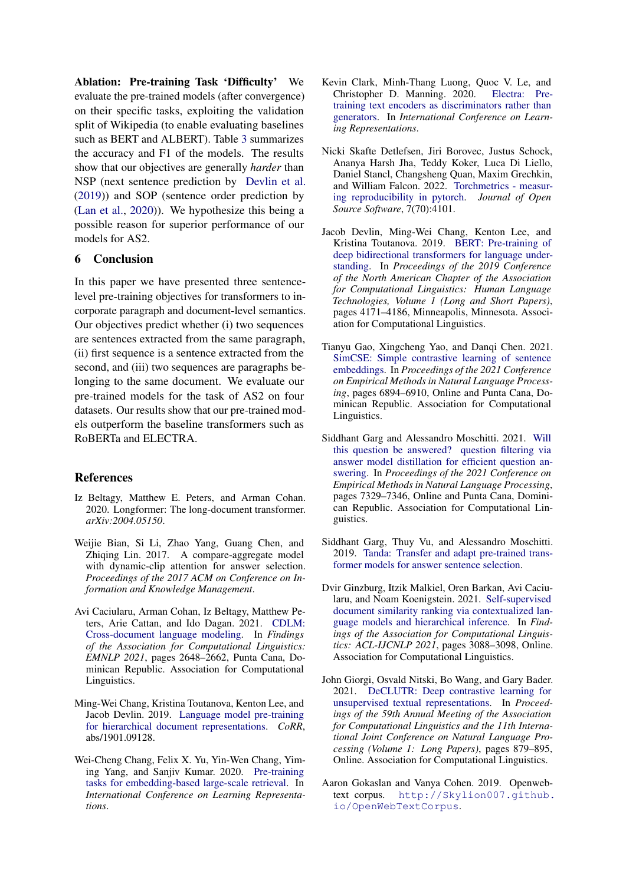Ablation: Pre-training Task 'Difficulty' We evaluate the pre-trained models (after convergence) on their specific tasks, exploiting the validation split of Wikipedia (to enable evaluating baselines such as BERT and ALBERT). Table [3](#page-3-2) summarizes the accuracy and F1 of the models. The results show that our objectives are generally *harder* than NSP (next sentence prediction by [Devlin et al.](#page-4-0) [\(2019\)](#page-4-0)) and SOP (sentence order prediction by [\(Lan et al.,](#page-5-1) [2020\)](#page-5-1)). We hypothesize this being a possible reason for superior performance of our models for AS2.

## 6 Conclusion

In this paper we have presented three sentencelevel pre-training objectives for transformers to incorporate paragraph and document-level semantics. Our objectives predict whether (i) two sequences are sentences extracted from the same paragraph, (ii) first sequence is a sentence extracted from the second, and (iii) two sequences are paragraphs belonging to the same document. We evaluate our pre-trained models for the task of AS2 on four datasets. Our results show that our pre-trained models outperform the baseline transformers such as RoBERTa and ELECTRA.

## References

- <span id="page-4-5"></span>Iz Beltagy, Matthew E. Peters, and Arman Cohan. 2020. Longformer: The long-document transformer. *arXiv:2004.05150*.
- <span id="page-4-7"></span>Weijie Bian, Si Li, Zhao Yang, Guang Chen, and Zhiqing Lin. 2017. A compare-aggregate model with dynamic-clip attention for answer selection. *Proceedings of the 2017 ACM on Conference on Information and Knowledge Management*.
- <span id="page-4-4"></span>Avi Caciularu, Arman Cohan, Iz Beltagy, Matthew Peters, Arie Cattan, and Ido Dagan. 2021. [CDLM:](https://aclanthology.org/2021.findings-emnlp.225) [Cross-document language modeling.](https://aclanthology.org/2021.findings-emnlp.225) In *Findings of the Association for Computational Linguistics: EMNLP 2021*, pages 2648–2662, Punta Cana, Dominican Republic. Association for Computational Linguistics.
- <span id="page-4-9"></span>Ming-Wei Chang, Kristina Toutanova, Kenton Lee, and Jacob Devlin. 2019. [Language model pre-training](http://arxiv.org/abs/1901.09128) [for hierarchical document representations.](http://arxiv.org/abs/1901.09128) *CoRR*, abs/1901.09128.
- <span id="page-4-10"></span>Wei-Cheng Chang, Felix X. Yu, Yin-Wen Chang, Yiming Yang, and Sanjiv Kumar. 2020. [Pre-training](https://openreview.net/forum?id=rkg-mA4FDr) [tasks for embedding-based large-scale retrieval.](https://openreview.net/forum?id=rkg-mA4FDr) In *International Conference on Learning Representations*.
- <span id="page-4-1"></span>Kevin Clark, Minh-Thang Luong, Quoc V. Le, and Christopher D. Manning. 2020. [Electra: Pre](https://openreview.net/forum?id=r1xMH1BtvB)[training text encoders as discriminators rather than](https://openreview.net/forum?id=r1xMH1BtvB) [generators.](https://openreview.net/forum?id=r1xMH1BtvB) In *International Conference on Learning Representations*.
- <span id="page-4-13"></span>Nicki Skafte Detlefsen, Jiri Borovec, Justus Schock, Ananya Harsh Jha, Teddy Koker, Luca Di Liello, Daniel Stancl, Changsheng Quan, Maxim Grechkin, and William Falcon. 2022. [Torchmetrics - measur](https://doi.org/10.21105/joss.04101)[ing reproducibility in pytorch.](https://doi.org/10.21105/joss.04101) *Journal of Open Source Software*, 7(70):4101.
- <span id="page-4-0"></span>Jacob Devlin, Ming-Wei Chang, Kenton Lee, and Kristina Toutanova. 2019. [BERT: Pre-training of](https://doi.org/10.18653/v1/N19-1423) [deep bidirectional transformers for language under](https://doi.org/10.18653/v1/N19-1423)[standing.](https://doi.org/10.18653/v1/N19-1423) In *Proceedings of the 2019 Conference of the North American Chapter of the Association for Computational Linguistics: Human Language Technologies, Volume 1 (Long and Short Papers)*, pages 4171–4186, Minneapolis, Minnesota. Association for Computational Linguistics.
- <span id="page-4-8"></span>Tianyu Gao, Xingcheng Yao, and Danqi Chen. 2021. [SimCSE: Simple contrastive learning of sentence](https://aclanthology.org/2021.emnlp-main.552) [embeddings.](https://aclanthology.org/2021.emnlp-main.552) In *Proceedings of the 2021 Conference on Empirical Methods in Natural Language Processing*, pages 6894–6910, Online and Punta Cana, Dominican Republic. Association for Computational Linguistics.
- <span id="page-4-12"></span>Siddhant Garg and Alessandro Moschitti. 2021. [Will](https://aclanthology.org/2021.emnlp-main.583) [this question be answered? question filtering via](https://aclanthology.org/2021.emnlp-main.583) [answer model distillation for efficient question an](https://aclanthology.org/2021.emnlp-main.583)[swering.](https://aclanthology.org/2021.emnlp-main.583) In *Proceedings of the 2021 Conference on Empirical Methods in Natural Language Processing*, pages 7329–7346, Online and Punta Cana, Dominican Republic. Association for Computational Linguistics.
- <span id="page-4-2"></span>Siddhant Garg, Thuy Vu, and Alessandro Moschitti. 2019. [Tanda: Transfer and adapt pre-trained trans](http://arxiv.org/abs/1911.04118)[former models for answer sentence selection.](http://arxiv.org/abs/1911.04118)
- <span id="page-4-3"></span>Dvir Ginzburg, Itzik Malkiel, Oren Barkan, Avi Caciularu, and Noam Koenigstein. 2021. [Self-supervised](https://doi.org/10.18653/v1/2021.findings-acl.272) [document similarity ranking via contextualized lan](https://doi.org/10.18653/v1/2021.findings-acl.272)[guage models and hierarchical inference.](https://doi.org/10.18653/v1/2021.findings-acl.272) In *Findings of the Association for Computational Linguistics: ACL-IJCNLP 2021*, pages 3088–3098, Online. Association for Computational Linguistics.
- <span id="page-4-6"></span>John Giorgi, Osvald Nitski, Bo Wang, and Gary Bader. 2021. [DeCLUTR: Deep contrastive learning for](https://doi.org/10.18653/v1/2021.acl-long.72) [unsupervised textual representations.](https://doi.org/10.18653/v1/2021.acl-long.72) In *Proceedings of the 59th Annual Meeting of the Association for Computational Linguistics and the 11th International Joint Conference on Natural Language Processing (Volume 1: Long Papers)*, pages 879–895, Online. Association for Computational Linguistics.
- <span id="page-4-11"></span>Aaron Gokaslan and Vanya Cohen. 2019. Openwebtext corpus. [http://Skylion007.github.](http://Skylion007.github.io/OpenWebTextCorpus) [io/OpenWebTextCorpus](http://Skylion007.github.io/OpenWebTextCorpus).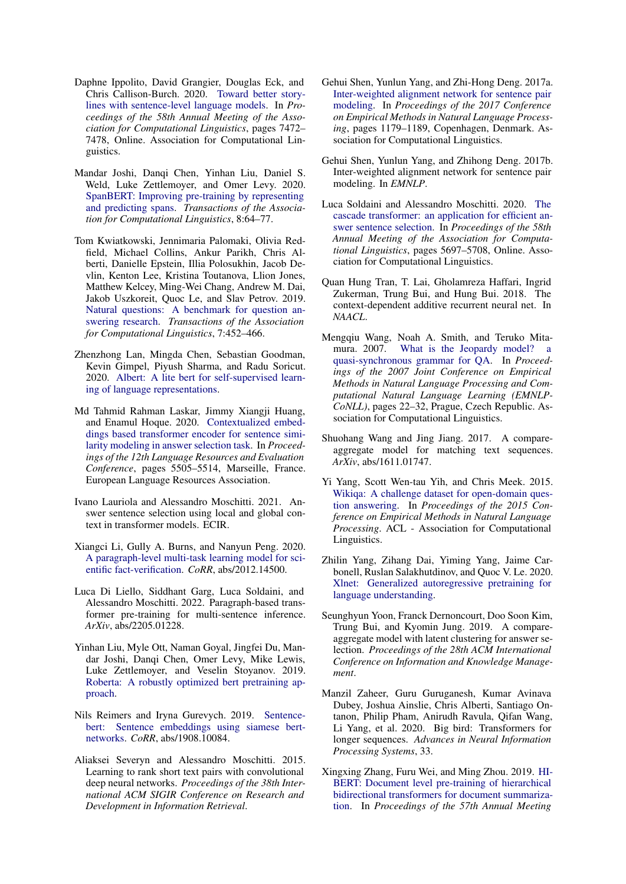- <span id="page-5-14"></span>Daphne Ippolito, David Grangier, Douglas Eck, and Chris Callison-Burch. 2020. [Toward better story](https://doi.org/10.18653/v1/2020.acl-main.666)[lines with sentence-level language models.](https://doi.org/10.18653/v1/2020.acl-main.666) In *Proceedings of the 58th Annual Meeting of the Association for Computational Linguistics*, pages 7472– 7478, Online. Association for Computational Linguistics.
- <span id="page-5-13"></span>Mandar Joshi, Danqi Chen, Yinhan Liu, Daniel S. Weld, Luke Zettlemoyer, and Omer Levy. 2020. [SpanBERT: Improving pre-training by representing](https://doi.org/10.1162/tacl_a_00300) [and predicting spans.](https://doi.org/10.1162/tacl_a_00300) *Transactions of the Association for Computational Linguistics*, 8:64–77.
- <span id="page-5-20"></span>Tom Kwiatkowski, Jennimaria Palomaki, Olivia Redfield, Michael Collins, Ankur Parikh, Chris Alberti, Danielle Epstein, Illia Polosukhin, Jacob Devlin, Kenton Lee, Kristina Toutanova, Llion Jones, Matthew Kelcey, Ming-Wei Chang, Andrew M. Dai, Jakob Uszkoreit, Quoc Le, and Slav Petrov. 2019. [Natural questions: A benchmark for question an](https://doi.org/10.1162/tacl_a_00276)[swering research.](https://doi.org/10.1162/tacl_a_00276) *Transactions of the Association for Computational Linguistics*, 7:452–466.
- <span id="page-5-1"></span>Zhenzhong Lan, Mingda Chen, Sebastian Goodman, Kevin Gimpel, Piyush Sharma, and Radu Soricut. 2020. [Albert: A lite bert for self-supervised learn](http://arxiv.org/abs/1909.11942)[ing of language representations.](http://arxiv.org/abs/1909.11942)
- <span id="page-5-3"></span>Md Tahmid Rahman Laskar, Jimmy Xiangji Huang, and Enamul Hoque. 2020. [Contextualized embed](https://aclanthology.org/2020.lrec-1.676)[dings based transformer encoder for sentence simi](https://aclanthology.org/2020.lrec-1.676)[larity modeling in answer selection task.](https://aclanthology.org/2020.lrec-1.676) In *Proceedings of the 12th Language Resources and Evaluation Conference*, pages 5505–5514, Marseille, France. European Language Resources Association.
- <span id="page-5-4"></span>Ivano Lauriola and Alessandro Moschitti. 2021. Answer sentence selection using local and global context in transformer models. ECIR.
- <span id="page-5-17"></span>Xiangci Li, Gully A. Burns, and Nanyun Peng. 2020. [A paragraph-level multi-task learning model for sci](http://arxiv.org/abs/2012.14500)[entific fact-verification.](http://arxiv.org/abs/2012.14500) *CoRR*, abs/2012.14500.
- <span id="page-5-18"></span>Luca Di Liello, Siddhant Garg, Luca Soldaini, and Alessandro Moschitti. 2022. Paragraph-based transformer pre-training for multi-sentence inference. *ArXiv*, abs/2205.01228.
- <span id="page-5-0"></span>Yinhan Liu, Myle Ott, Naman Goyal, Jingfei Du, Mandar Joshi, Danqi Chen, Omer Levy, Mike Lewis, Luke Zettlemoyer, and Veselin Stoyanov. 2019. [Roberta: A robustly optimized bert pretraining ap](http://arxiv.org/abs/1907.11692)[proach.](http://arxiv.org/abs/1907.11692)
- <span id="page-5-15"></span>Nils Reimers and Iryna Gurevych. 2019. [Sentence](http://arxiv.org/abs/1908.10084)[bert: Sentence embeddings using siamese bert](http://arxiv.org/abs/1908.10084)[networks.](http://arxiv.org/abs/1908.10084) *CoRR*, abs/1908.10084.
- <span id="page-5-7"></span>Aliaksei Severyn and Alessandro Moschitti. 2015. Learning to rank short text pairs with convolutional deep neural networks. *Proceedings of the 38th International ACM SIGIR Conference on Research and Development in Information Retrieval*.
- <span id="page-5-21"></span>Gehui Shen, Yunlun Yang, and Zhi-Hong Deng. 2017a. [Inter-weighted alignment network for sentence pair](https://doi.org/10.18653/v1/D17-1122) [modeling.](https://doi.org/10.18653/v1/D17-1122) In *Proceedings of the 2017 Conference on Empirical Methods in Natural Language Processing*, pages 1179–1189, Copenhagen, Denmark. Association for Computational Linguistics.
- <span id="page-5-8"></span>Gehui Shen, Yunlun Yang, and Zhihong Deng. 2017b. Inter-weighted alignment network for sentence pair modeling. In *EMNLP*.
- <span id="page-5-2"></span>Luca Soldaini and Alessandro Moschitti. 2020. [The](https://doi.org/10.18653/v1/2020.acl-main.504) [cascade transformer: an application for efficient an](https://doi.org/10.18653/v1/2020.acl-main.504)[swer sentence selection.](https://doi.org/10.18653/v1/2020.acl-main.504) In *Proceedings of the 58th Annual Meeting of the Association for Computational Linguistics*, pages 5697–5708, Online. Association for Computational Linguistics.
- <span id="page-5-9"></span>Quan Hung Tran, T. Lai, Gholamreza Haffari, Ingrid Zukerman, Trung Bui, and Hung Bui. 2018. The context-dependent additive recurrent neural net. In *NAACL*.
- <span id="page-5-6"></span>Mengqiu Wang, Noah A. Smith, and Teruko Mitamura. 2007. [What is the Jeopardy model? a](https://aclanthology.org/D07-1003) [quasi-synchronous grammar for QA.](https://aclanthology.org/D07-1003) In *Proceedings of the 2007 Joint Conference on Empirical Methods in Natural Language Processing and Computational Natural Language Learning (EMNLP-CoNLL)*, pages 22–32, Prague, Czech Republic. Association for Computational Linguistics.
- <span id="page-5-10"></span>Shuohang Wang and Jing Jiang. 2017. A compareaggregate model for matching text sequences. *ArXiv*, abs/1611.01747.
- <span id="page-5-5"></span>Yi Yang, Scott Wen-tau Yih, and Chris Meek. 2015. [Wikiqa: A challenge dataset for open-domain ques](https://www.microsoft.com/en-us/research/publication/wikiqa-a-challenge-dataset-for-open-domain-question-answering/)[tion answering.](https://www.microsoft.com/en-us/research/publication/wikiqa-a-challenge-dataset-for-open-domain-question-answering/) In *Proceedings of the 2015 Conference on Empirical Methods in Natural Language Processing*. ACL - Association for Computational Linguistics.
- <span id="page-5-12"></span>Zhilin Yang, Zihang Dai, Yiming Yang, Jaime Carbonell, Ruslan Salakhutdinov, and Quoc V. Le. 2020. [Xlnet: Generalized autoregressive pretraining for](http://arxiv.org/abs/1906.08237) [language understanding.](http://arxiv.org/abs/1906.08237)
- <span id="page-5-11"></span>Seunghyun Yoon, Franck Dernoncourt, Doo Soon Kim, Trung Bui, and Kyomin Jung. 2019. A compareaggregate model with latent clustering for answer selection. *Proceedings of the 28th ACM International Conference on Information and Knowledge Management*.
- <span id="page-5-19"></span>Manzil Zaheer, Guru Guruganesh, Kumar Avinava Dubey, Joshua Ainslie, Chris Alberti, Santiago Ontanon, Philip Pham, Anirudh Ravula, Qifan Wang, Li Yang, et al. 2020. Big bird: Transformers for longer sequences. *Advances in Neural Information Processing Systems*, 33.
- <span id="page-5-16"></span>Xingxing Zhang, Furu Wei, and Ming Zhou. 2019. [HI-](https://doi.org/10.18653/v1/P19-1499)[BERT: Document level pre-training of hierarchical](https://doi.org/10.18653/v1/P19-1499) [bidirectional transformers for document summariza](https://doi.org/10.18653/v1/P19-1499)[tion.](https://doi.org/10.18653/v1/P19-1499) In *Proceedings of the 57th Annual Meeting*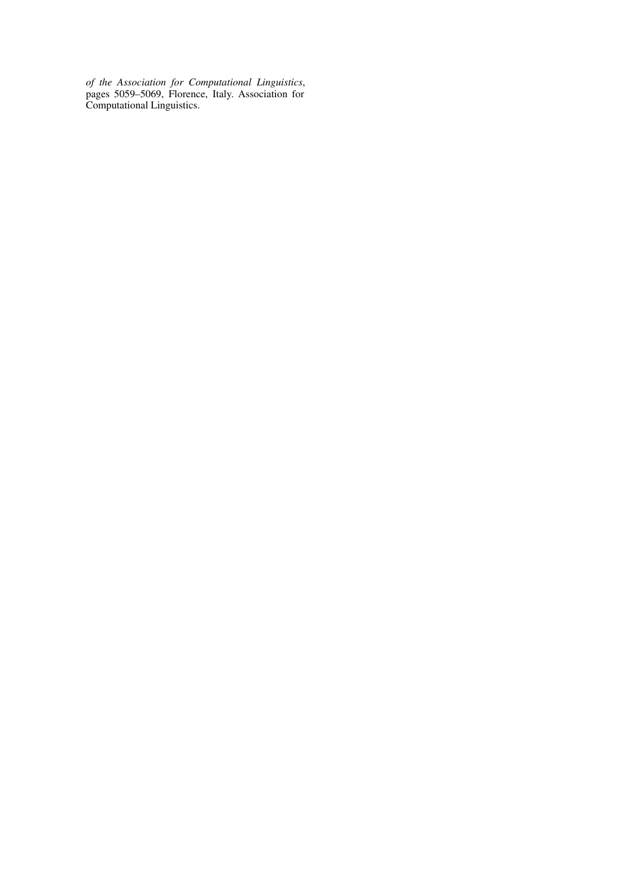*of the Association for Computational Linguistics*, pages 5059–5069, Florence, Italy. Association for Computational Linguistics.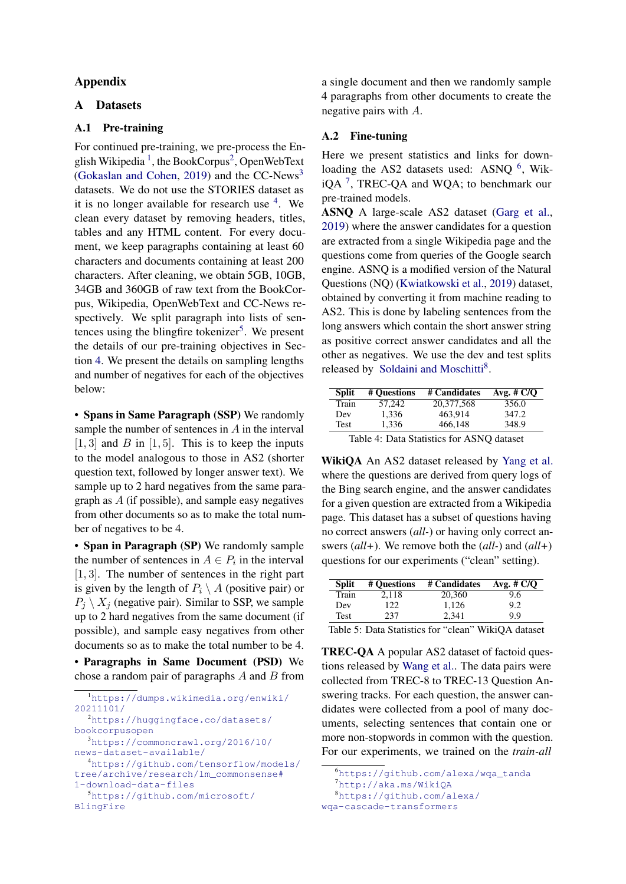## Appendix

## <span id="page-7-0"></span>A Datasets

## A.1 Pre-training

For continued pre-training, we pre-process the En-glish Wikipedia<sup>[1](#page-7-1)</sup>, the BookCorpus<sup>[2](#page-7-2)</sup>, OpenWebText [\(Gokaslan and Cohen,](#page-4-11) [2019\)](#page-4-11) and the CC-News[3](#page-7-3) datasets. We do not use the STORIES dataset as it is no longer available for research use  $4$ . We clean every dataset by removing headers, titles, tables and any HTML content. For every document, we keep paragraphs containing at least 60 characters and documents containing at least 200 characters. After cleaning, we obtain 5GB, 10GB, 34GB and 360GB of raw text from the BookCorpus, Wikipedia, OpenWebText and CC-News respectively. We split paragraph into lists of sen-tences using the blingfire tokenizer<sup>[5](#page-7-5)</sup>. We present the details of our pre-training objectives in Section [4.](#page-1-0) We present the details on sampling lengths and number of negatives for each of the objectives below:

• Spans in Same Paragraph (SSP) We randomly sample the number of sentences in A in the interval  $[1, 3]$  and B in  $[1, 5]$ . This is to keep the inputs to the model analogous to those in AS2 (shorter question text, followed by longer answer text). We sample up to 2 hard negatives from the same paragraph as A (if possible), and sample easy negatives from other documents so as to make the total number of negatives to be 4.

• Span in Paragraph (SP) We randomly sample the number of sentences in  $A \in P_i$  in the interval [1, 3]. The number of sentences in the right part is given by the length of  $P_i \setminus A$  (positive pair) or  $P_i \setminus X_i$  (negative pair). Similar to SSP, we sample up to 2 hard negatives from the same document (if possible), and sample easy negatives from other documents so as to make the total number to be 4.

• Paragraphs in Same Document (PSD) We chose a random pair of paragraphs  $A$  and  $B$  from a single document and then we randomly sample 4 paragraphs from other documents to create the negative pairs with A.

## A.2 Fine-tuning

Here we present statistics and links for down-loading the AS2 datasets used: ASNQ <sup>[6](#page-7-6)</sup>, WikiQA  $<sup>7</sup>$  $<sup>7</sup>$  $<sup>7</sup>$ , TREC-QA and WQA; to benchmark our</sup> pre-trained models.

ASNQ A large-scale AS2 dataset [\(Garg et al.,](#page-4-2) [2019\)](#page-4-2) where the answer candidates for a question are extracted from a single Wikipedia page and the questions come from queries of the Google search engine. ASNQ is a modified version of the Natural Questions (NQ) [\(Kwiatkowski et al.,](#page-5-20) [2019\)](#page-5-20) dataset, obtained by converting it from machine reading to AS2. This is done by labeling sentences from the long answers which contain the short answer string as positive correct answer candidates and all the other as negatives. We use the dev and test splits released by [Soldaini and Moschitti](#page-5-2)<sup>[8](#page-7-8)</sup>.

| <b>Split</b> | # Ouestions                               | # Candidates | Avg. $\# C/O$ |
|--------------|-------------------------------------------|--------------|---------------|
| Train        | 57.242                                    | 20,377,568   | 356.0         |
| Dev          | 1.336                                     | 463.914      | 347.2         |
| Test         | 1.336                                     | 466.148      | 348.9         |
| .            | $\sim$ $\sim$ $\sim$ $\sim$ $\sim$ $\sim$ |              | $\cdots$      |

Table 4: Data Statistics for ASNQ dataset

WikiQA An AS2 dataset released by [Yang et al.](#page-5-5) where the questions are derived from query logs of the Bing search engine, and the answer candidates for a given question are extracted from a Wikipedia page. This dataset has a subset of questions having no correct answers (*all-*) or having only correct answers (*all+*). We remove both the (*all-*) and (*all+*) questions for our experiments ("clean" setting).

| <b>Split</b> | # Ouestions | # Candidates | Avg. $# C/Q$ |
|--------------|-------------|--------------|--------------|
| Train        | 2.118       | 20,360       | 9.6          |
| Dev          | 122         | 1.126        | 9.2          |
| Test         | 237         | 2.341        | 9.9          |

Table 5: Data Statistics for "clean" WikiQA dataset

TREC-QA A popular AS2 dataset of factoid questions released by [Wang et al..](#page-5-6) The data pairs were collected from TREC-8 to TREC-13 Question Answering tracks. For each question, the answer candidates were collected from a pool of many documents, selecting sentences that contain one or more non-stopwords in common with the question. For our experiments, we trained on the *train-all*

<span id="page-7-5"></span><span id="page-7-4"></span><span id="page-7-3"></span><span id="page-7-2"></span><span id="page-7-1"></span><sup>1</sup>[https://dumps.wikimedia.org/enwiki/](https://dumps.wikimedia.org/enwiki/20211101/) [20211101/](https://dumps.wikimedia.org/enwiki/20211101/) <sup>2</sup>[https://huggingface.co/datasets/](https://huggingface.co/datasets/bookcorpusopen) [bookcorpusopen](https://huggingface.co/datasets/bookcorpusopen) <sup>3</sup>[https://commoncrawl.org/2016/10/](https://commoncrawl.org/2016/10/news-dataset-available/) [news-dataset-available/](https://commoncrawl.org/2016/10/news-dataset-available/) <sup>4</sup>[https://github.com/tensorflow/models/](https://github.com/tensorflow/models/tree/archive/research/lm_commonsense#1-download-data-files) [tree/archive/research/lm\\_commonsense#](https://github.com/tensorflow/models/tree/archive/research/lm_commonsense#1-download-data-files) [1-download-data-files](https://github.com/tensorflow/models/tree/archive/research/lm_commonsense#1-download-data-files) <sup>5</sup>[https://github.com/microsoft/](https://github.com/microsoft/BlingFire) [BlingFire](https://github.com/microsoft/BlingFire)

<span id="page-7-6"></span><sup>6</sup>[https://github.com/alexa/wqa\\_tanda](https://github.com/alexa/wqa_tanda)

<span id="page-7-8"></span><span id="page-7-7"></span><sup>7</sup><http://aka.ms/WikiQA>

<sup>8</sup>[https://github.com/alexa/](https://github.com/alexa/wqa-cascade-transformers)

[wqa-cascade-transformers](https://github.com/alexa/wqa-cascade-transformers)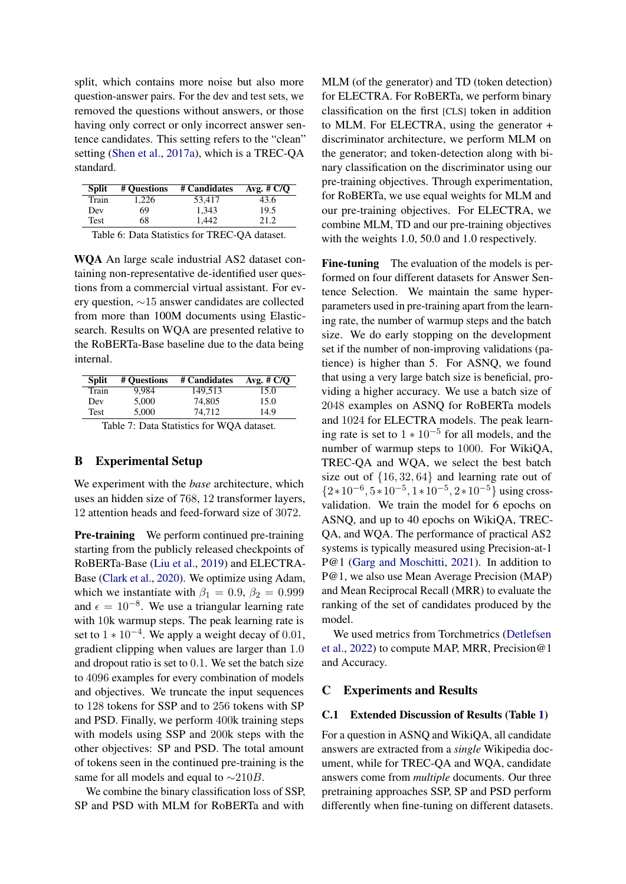split, which contains more noise but also more question-answer pairs. For the dev and test sets, we removed the questions without answers, or those having only correct or only incorrect answer sentence candidates. This setting refers to the "clean" setting [\(Shen et al.,](#page-5-21) [2017a\)](#page-5-21), which is a TREC-QA standard.

| <b>Split</b> | # Ouestions | # Candidates | Avg. $# C/Q$ |
|--------------|-------------|--------------|--------------|
| Train        | 1.226       | 53.417       | 43.6         |
| Dev          | 69          | 1.343        | 19.5         |
| Test         | 68          | 1.442        | 21.2         |
|              |             |              |              |

Table 6: Data Statistics for TREC-QA dataset.

WQA An large scale industrial AS2 dataset containing non-representative de-identified user questions from a commercial virtual assistant. For every question, ∼15 answer candidates are collected from more than 100M documents using Elasticsearch. Results on WQA are presented relative to the RoBERTa-Base baseline due to the data being internal.

| <b>Split</b> | # Ouestions | # Candidates | Avg. $# C/Q$ |
|--------------|-------------|--------------|--------------|
| Train        | 9.984       | 149.513      | 15.0         |
| Dev          | 5.000       | 74,805       | 15.0         |
| Test         | 5.000       | 74.712       | 14.9         |

Table 7: Data Statistics for WQA dataset.

#### B Experimental Setup

We experiment with the *base* architecture, which uses an hidden size of 768, 12 transformer layers, 12 attention heads and feed-forward size of 3072.

Pre-training We perform continued pre-training starting from the publicly released checkpoints of RoBERTa-Base [\(Liu et al.,](#page-5-0) [2019\)](#page-5-0) and ELECTRA-Base [\(Clark et al.,](#page-4-1) [2020\)](#page-4-1). We optimize using Adam, which we instantiate with  $\beta_1 = 0.9$ ,  $\beta_2 = 0.999$ and  $\epsilon = 10^{-8}$ . We use a triangular learning rate with 10k warmup steps. The peak learning rate is set to  $1 * 10^{-4}$ . We apply a weight decay of 0.01, gradient clipping when values are larger than 1.0 and dropout ratio is set to 0.1. We set the batch size to 4096 examples for every combination of models and objectives. We truncate the input sequences to 128 tokens for SSP and to 256 tokens with SP and PSD. Finally, we perform 400k training steps with models using SSP and 200k steps with the other objectives: SP and PSD. The total amount of tokens seen in the continued pre-training is the same for all models and equal to  $\sim$ 210B.

We combine the binary classification loss of SSP, SP and PSD with MLM for RoBERTa and with

MLM (of the generator) and TD (token detection) for ELECTRA. For RoBERTa, we perform binary classification on the first [CLS] token in addition to MLM. For ELECTRA, using the generator + discriminator architecture, we perform MLM on the generator; and token-detection along with binary classification on the discriminator using our pre-training objectives. Through experimentation, for RoBERTa, we use equal weights for MLM and our pre-training objectives. For ELECTRA, we combine MLM, TD and our pre-training objectives with the weights 1.0, 50.0 and 1.0 respectively.

Fine-tuning The evaluation of the models is performed on four different datasets for Answer Sentence Selection. We maintain the same hyperparameters used in pre-training apart from the learning rate, the number of warmup steps and the batch size. We do early stopping on the development set if the number of non-improving validations (patience) is higher than 5. For ASNQ, we found that using a very large batch size is beneficial, providing a higher accuracy. We use a batch size of 2048 examples on ASNQ for RoBERTa models and 1024 for ELECTRA models. The peak learning rate is set to  $1 * 10^{-5}$  for all models, and the number of warmup steps to 1000. For WikiQA, TREC-QA and WQA, we select the best batch size out of {16, 32, 64} and learning rate out of  ${2*10^{-6}, 5*10^{-5}, 1*10^{-5}, 2*10^{-5}}$  using crossvalidation. We train the model for 6 epochs on ASNQ, and up to 40 epochs on WikiQA, TREC-QA, and WQA. The performance of practical AS2 systems is typically measured using Precision-at-1 P@1 [\(Garg and Moschitti,](#page-4-12) [2021\)](#page-4-12). In addition to P@1, we also use Mean Average Precision (MAP) and Mean Reciprocal Recall (MRR) to evaluate the ranking of the set of candidates produced by the model.

We used metrics from Torchmetrics [\(Detlefsen](#page-4-13) [et al.,](#page-4-13) [2022\)](#page-4-13) to compute MAP, MRR, Precision@1 and Accuracy.

#### C Experiments and Results

#### C.1 Extended Discussion of Results (Table [1\)](#page-3-0)

For a question in ASNQ and WikiQA, all candidate answers are extracted from a *single* Wikipedia document, while for TREC-QA and WQA, candidate answers come from *multiple* documents. Our three pretraining approaches SSP, SP and PSD perform differently when fine-tuning on different datasets.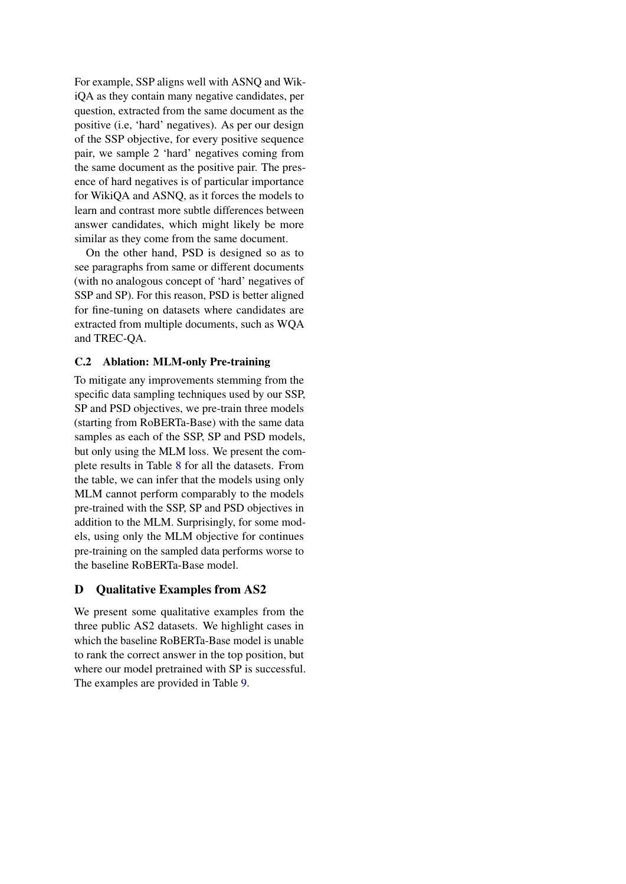For example, SSP aligns well with ASNQ and WikiQA as they contain many negative candidates, per question, extracted from the same document as the positive (i.e, 'hard' negatives). As per our design of the SSP objective, for every positive sequence pair, we sample 2 'hard' negatives coming from the same document as the positive pair. The presence of hard negatives is of particular importance for WikiQA and ASNQ, as it forces the models to learn and contrast more subtle differences between answer candidates, which might likely be more similar as they come from the same document.

On the other hand, PSD is designed so as to see paragraphs from same or different documents (with no analogous concept of 'hard' negatives of SSP and SP). For this reason, PSD is better aligned for fine-tuning on datasets where candidates are extracted from multiple documents, such as WQA and TREC-QA.

## C.2 Ablation: MLM-only Pre-training

To mitigate any improvements stemming from the specific data sampling techniques used by our SSP, SP and PSD objectives, we pre-train three models (starting from RoBERTa-Base) with the same data samples as each of the SSP, SP and PSD models, but only using the MLM loss. We present the complete results in Table [8](#page-10-0) for all the datasets. From the table, we can infer that the models using only MLM cannot perform comparably to the models pre-trained with the SSP, SP and PSD objectives in addition to the MLM. Surprisingly, for some models, using only the MLM objective for continues pre-training on the sampled data performs worse to the baseline RoBERTa-Base model.

# D Qualitative Examples from AS2

We present some qualitative examples from the three public AS2 datasets. We highlight cases in which the baseline RoBERTa-Base model is unable to rank the correct answer in the top position, but where our model pretrained with SP is successful. The examples are provided in Table [9.](#page-10-1)